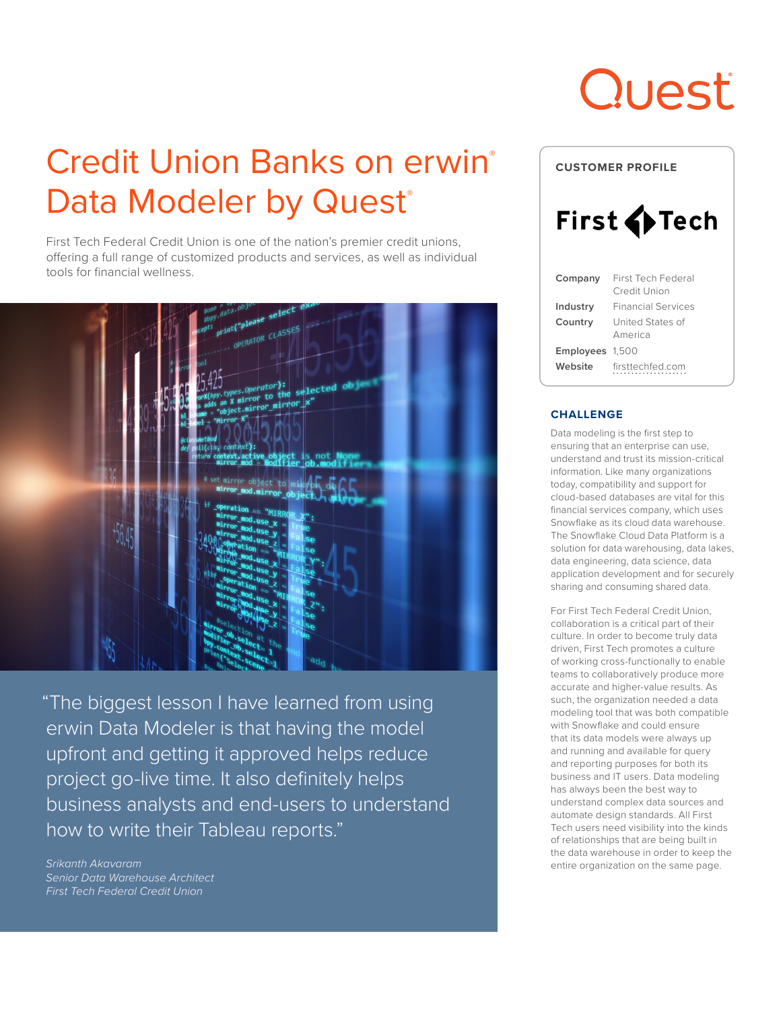# Quest

## Credit Union Banks on erwin<sup>®</sup> Data Modeler by Quest®

First Tech Federal Credit Union is one of the nation's premier credit unions, offering a full range of customized products and services, as well as individual tools for financial wellness.



"The biggest lesson I have learned from using erwin Data Modeler is that having the model upfront and getting it approved helps reduce project go-live time. It also definitely helps business analysts and end-users to understand how to write their Tableau reports."

*Srikanth Akavaram Senior Data Warehouse Architect First Tech Federal Credit Union* 



#### **CHALLENGE**

Data modeling is the first step to ensuring that an enterprise can use, understand and trust its mission-critical information. Like many organizations today, compatibility and support for cloud-based databases are vital for this financial services company, which uses Snowflake as its cloud data warehouse. The Snowflake Cloud Data Platform is a solution for data warehousing, data lakes, data engineering, data science, data application development and for securely sharing and consuming shared data.

For First Tech Federal Credit Union, collaboration is a critical part of their culture. In order to become truly data driven, First Tech promotes a culture of working cross-functionally to enable teams to collaboratively produce more accurate and higher-value results. As such, the organization needed a data modeling tool that was both compatible with Snowflake and could ensure that its data models were always up and running and available for query and reporting purposes for both its business and IT users. Data modeling has always been the best way to understand complex data sources and automate design standards. All First Tech users need visibility into the kinds of relationships that are being built in the data warehouse in order to keep the entire organization on the same page.